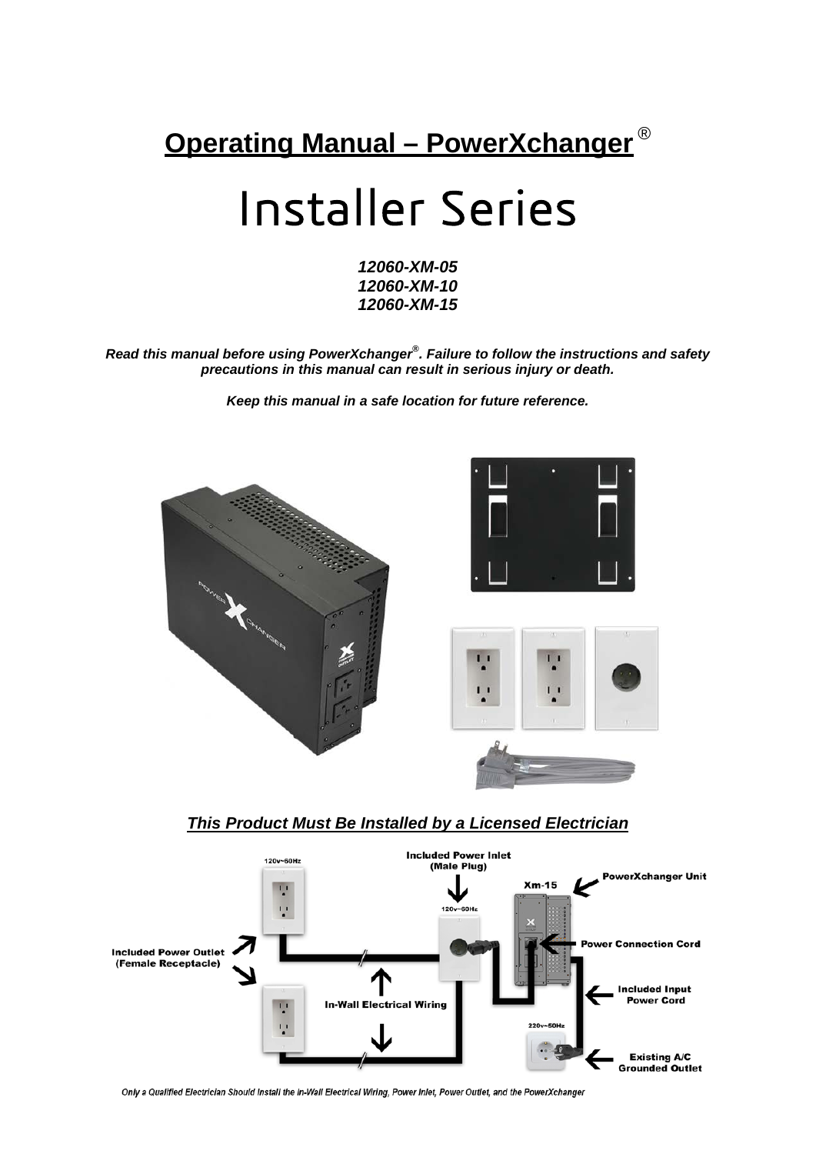

# Installer Series

*12060-XM-05 12060-XM-10 12060-XM-15*

*Read this manual before using PowerXchanger® . Failure to follow the instructions and safety precautions in this manual can result in serious injury or death.*

*Keep this manual in a safe location for future reference.*



### *This Product Must Be Installed by a Licensed Electrician*



Only a Qualified Electrician Should Install the In-Wall Electrical Wiring, Power Inlet, Power Outlet, and the PowerXchanger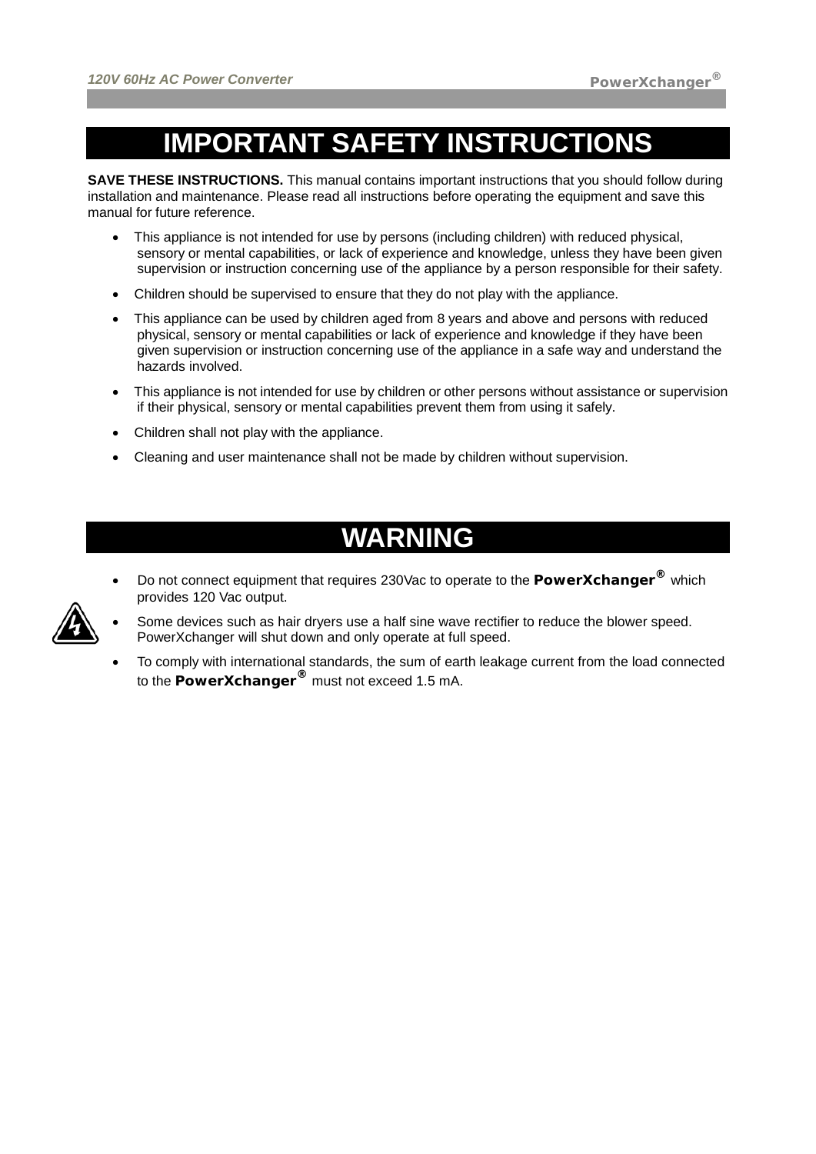# **IMPORTANT SAFETY INSTRUCTIONS**

**SAVE THESE INSTRUCTIONS.** This manual contains important instructions that you should follow during installation and maintenance. Please read all instructions before operating the equipment and save this manual for future reference.

- This appliance is not intended for use by persons (including children) with reduced physical, sensory or mental capabilities, or lack of experience and knowledge, unless they have been given supervision or instruction concerning use of the appliance by a person responsible for their safety.
- Children should be supervised to ensure that they do not play with the appliance.
- This appliance can be used by children aged from 8 years and above and persons with reduced physical, sensory or mental capabilities or lack of experience and knowledge if they have been given supervision or instruction concerning use of the appliance in a safe way and understand the hazards involved.
- This appliance is not intended for use by children or other persons without assistance or supervision if their physical, sensory or mental capabilities prevent them from using it safely.
- Children shall not play with the appliance.
- Cleaning and user maintenance shall not be made by children without supervision.

# **WARNING**

- Do not connect equipment that requires 230Vac to operate to the **PowerXchanger®** which provides 120 Vac output.
- Some devices such as hair dryers use a half sine wave rectifier to reduce the blower speed. PowerXchanger will shut down and only operate at full speed.
	- To comply with international standards, the sum of earth leakage current from the load connected to the **PowerXchanger®** must not exceed 1.5 mA.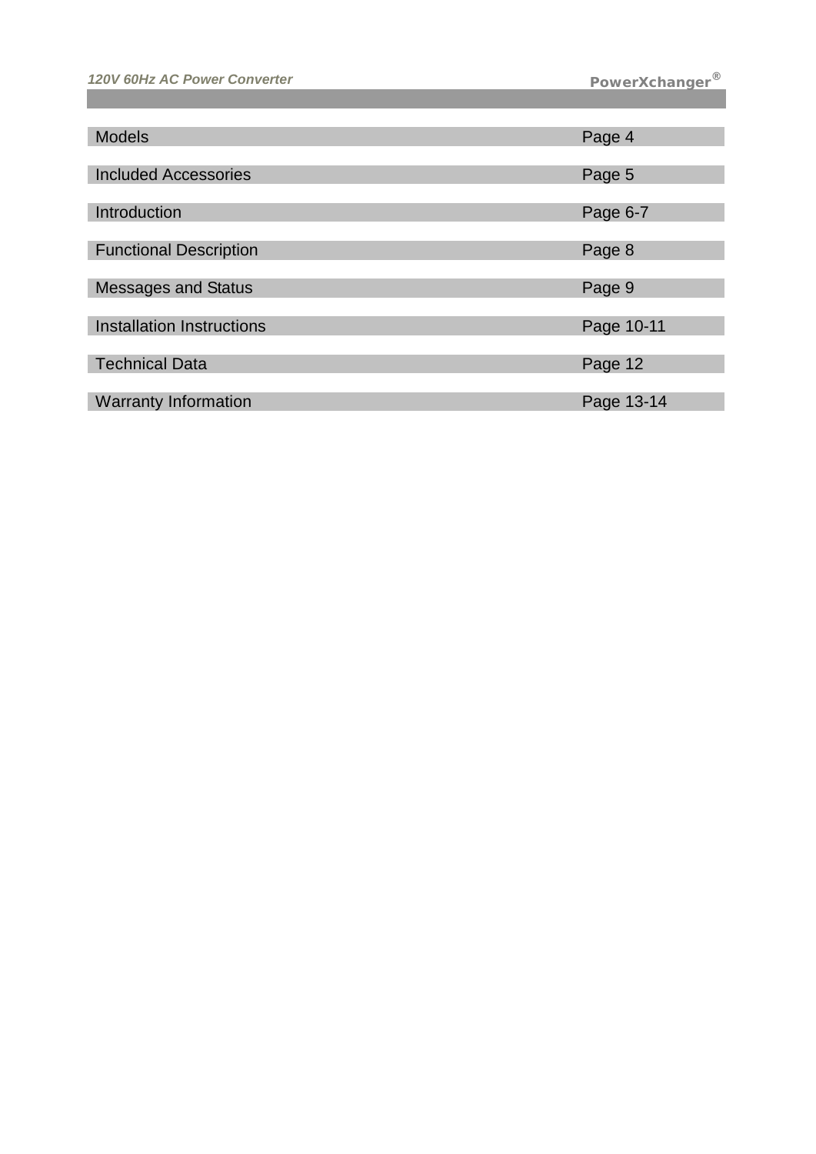| <b>Models</b>                    | Page 4     |
|----------------------------------|------------|
|                                  |            |
| <b>Included Accessories</b>      | Page 5     |
|                                  |            |
| Introduction                     | Page 6-7   |
|                                  |            |
| <b>Functional Description</b>    | Page 8     |
|                                  |            |
| <b>Messages and Status</b>       | Page 9     |
|                                  |            |
| <b>Installation Instructions</b> | Page 10-11 |
|                                  |            |
| <b>Technical Data</b>            | Page 12    |
|                                  |            |
| <b>Warranty Information</b>      | Page 13-14 |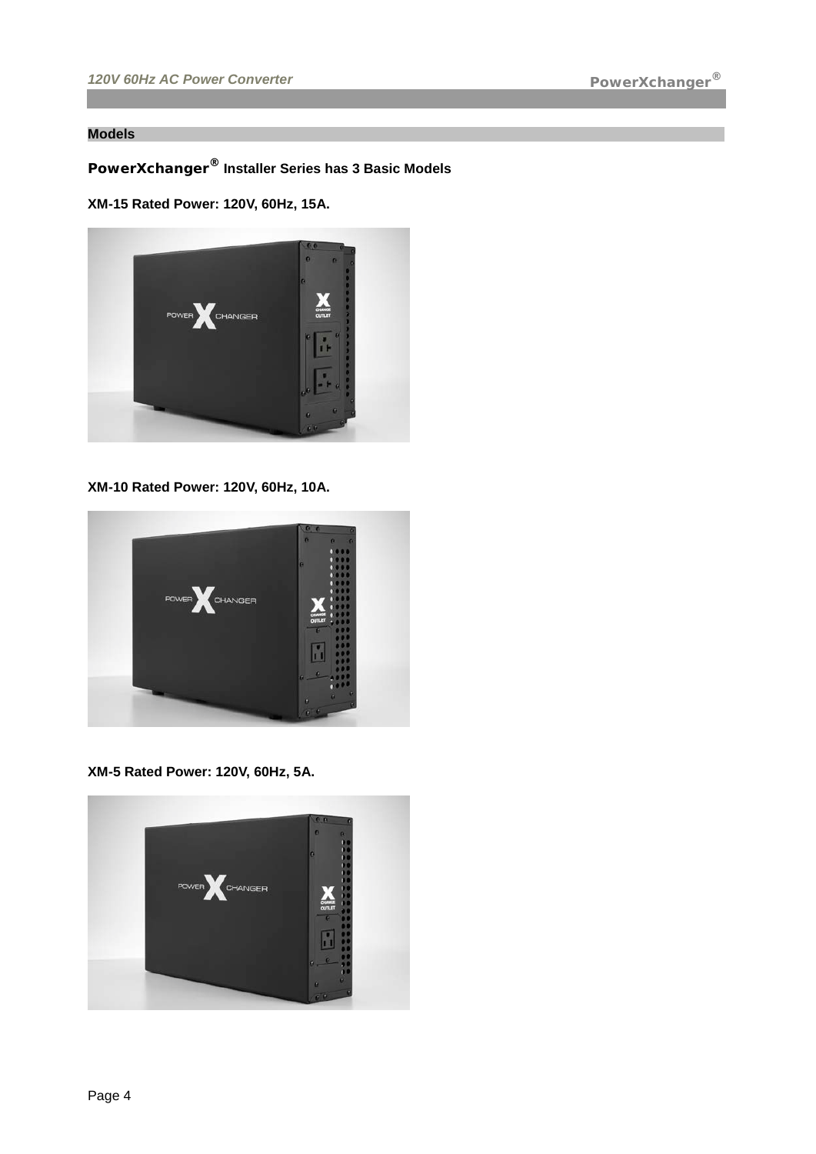#### **Models**

# **PowerXchanger® Installer Series has 3 Basic Models**

#### **XM-15 Rated Power: 120V, 60Hz, 15A.**



**XM-10 Rated Power: 120V, 60Hz, 10A.**



**XM-5 Rated Power: 120V, 60Hz, 5A.**

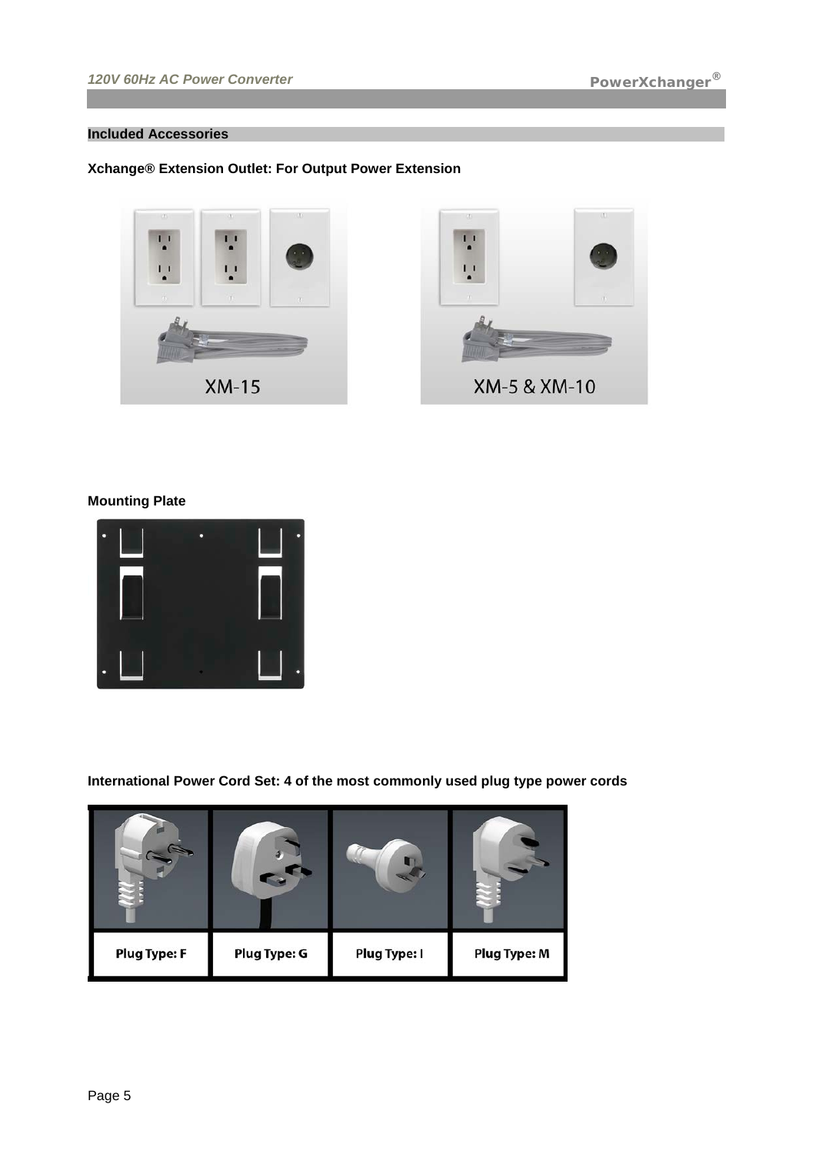#### **Included Accessories**

#### **Xchange® Extension Outlet: For Output Power Extension**





#### **Mounting Plate**



**International Power Cord Set: 4 of the most commonly used plug type power cords**

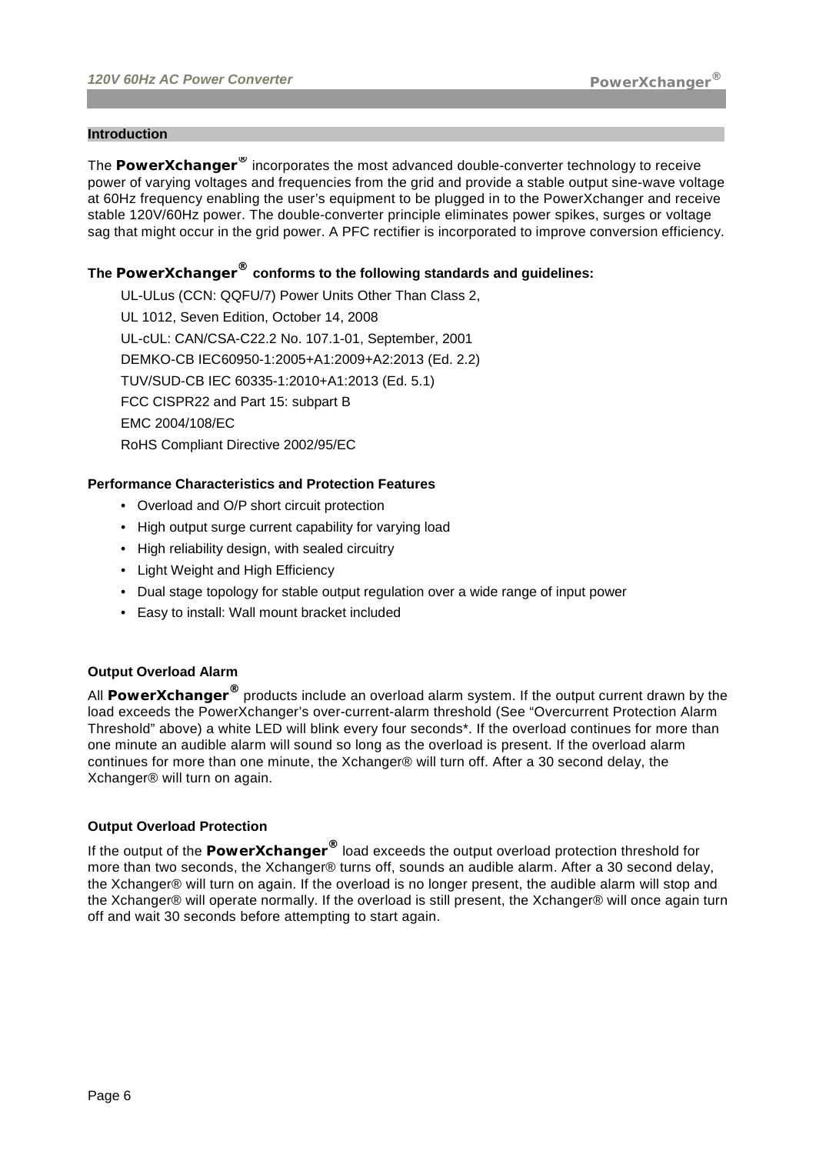#### **Introduction**

The **PowerXchanger®** incorporates the most advanced double-converter technology to receive power of varying voltages and frequencies from the grid and provide a stable output sine-wave voltage at 60Hz frequency enabling the user's equipment to be plugged in to the PowerXchanger and receive stable 120V/60Hz power. The double-converter principle eliminates power spikes, surges or voltage sag that might occur in the grid power. A PFC rectifier is incorporated to improve conversion efficiency.

### **The PowerXchanger® conforms to the following standards and guidelines:**

UL-ULus (CCN: QQFU/7) Power Units Other Than Class 2, UL 1012, Seven Edition, October 14, 2008 UL-cUL: CAN/CSA-C22.2 No. 107.1-01, September, 2001 DEMKO-CB IEC60950-1:2005+A1:2009+A2:2013 (Ed. 2.2) TUV/SUD-CB IEC 60335-1:2010+A1:2013 (Ed. 5.1) FCC CISPR22 and Part 15: subpart B EMC 2004/108/EC RoHS Compliant Directive 2002/95/EC

#### **Performance Characteristics and Protection Features**

- Overload and O/P short circuit protection
- High output surge current capability for varying load
- High reliability design, with sealed circuitry
- Light Weight and High Efficiency
- Dual stage topology for stable output regulation over a wide range of input power
- Easy to install: Wall mount bracket included

#### **Output Overload Alarm**

All **PowerXchanger®** products include an overload alarm system. If the output current drawn by the load exceeds the PowerXchanger's over-current-alarm threshold (See "Overcurrent Protection Alarm Threshold" above) a white LED will blink every four seconds\*. If the overload continues for more than one minute an audible alarm will sound so long as the overload is present. If the overload alarm continues for more than one minute, the Xchanger® will turn off. After a 30 second delay, the Xchanger® will turn on again.

#### **Output Overload Protection**

If the output of the **PowerXchanger®** load exceeds the output overload protection threshold for more than two seconds, the Xchanger® turns off, sounds an audible alarm. After a 30 second delay, the Xchanger® will turn on again. If the overload is no longer present, the audible alarm will stop and the Xchanger® will operate normally. If the overload is still present, the Xchanger® will once again turn off and wait 30 seconds before attempting to start again.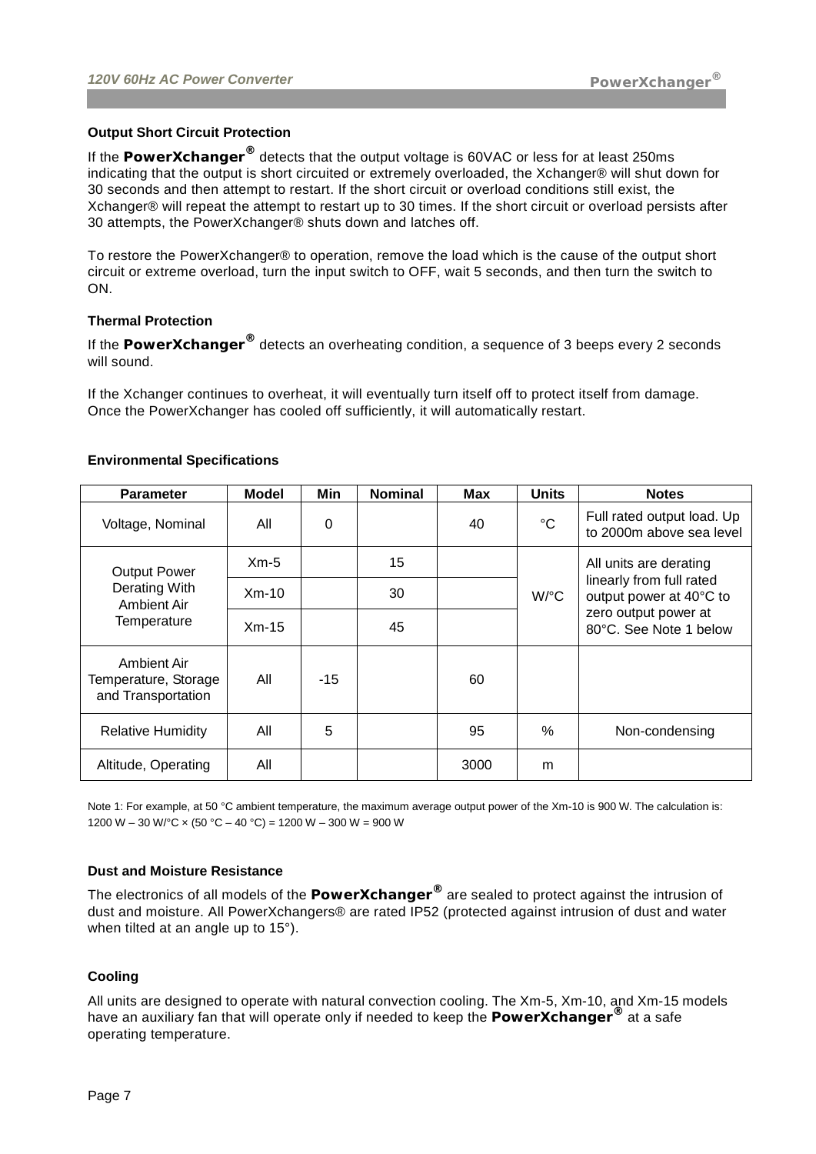#### **Output Short Circuit Protection**

If the **PowerXchanger®** detects that the output voltage is 60VAC or less for at least 250ms indicating that the output is short circuited or extremely overloaded, the Xchanger® will shut down for 30 seconds and then attempt to restart. If the short circuit or overload conditions still exist, the Xchanger® will repeat the attempt to restart up to 30 times. If the short circuit or overload persists after 30 attempts, the PowerXchanger® shuts down and latches off.

To restore the PowerXchanger® to operation, remove the load which is the cause of the output short circuit or extreme overload, turn the input switch to OFF, wait 5 seconds, and then turn the switch to ON.

#### **Thermal Protection**

If the **PowerXchanger®** detects an overheating condition, a sequence of 3 beeps every 2 seconds will sound.

If the Xchanger continues to overheat, it will eventually turn itself off to protect itself from damage. Once the PowerXchanger has cooled off sufficiently, it will automatically restart.

| <b>Parameter</b>                                          | <b>Model</b> | Min   | <b>Nominal</b> | Max  | <b>Units</b> | <b>Notes</b>                                           |
|-----------------------------------------------------------|--------------|-------|----------------|------|--------------|--------------------------------------------------------|
| Voltage, Nominal                                          | All          | 0     |                | 40   | $^{\circ}C$  | Full rated output load. Up<br>to 2000m above sea level |
| <b>Output Power</b>                                       | $Xm-5$       |       | 15             |      | W/°C         | All units are derating                                 |
| Derating With<br>Ambient Air                              | $Xm-10$      |       | 30             |      |              | linearly from full rated<br>output power at 40°C to    |
| Temperature                                               | $Xm-15$      |       | 45             |      |              | zero output power at<br>80°C. See Note 1 below         |
| Ambient Air<br>Temperature, Storage<br>and Transportation | All          | $-15$ |                | 60   |              |                                                        |
| <b>Relative Humidity</b>                                  | All          | 5     |                | 95   | $\%$         | Non-condensing                                         |
| Altitude, Operating                                       | All          |       |                | 3000 | m            |                                                        |

#### **Environmental Specifications**

Note 1: For example, at 50 °C ambient temperature, the maximum average output power of the Xm-10 is 900 W. The calculation is: 1200 W – 30 W/ $^{\circ}$ C × (50  $^{\circ}$ C – 40  $^{\circ}$ C) = 1200 W – 300 W = 900 W

#### **Dust and Moisture Resistance**

The electronics of all models of the **PowerXchanger®** are sealed to protect against the intrusion of dust and moisture. All PowerXchangers® are rated IP52 (protected against intrusion of dust and water when tilted at an angle up to 15°).

#### **Cooling**

All units are designed to operate with natural convection cooling. The Xm-5, Xm-10, and Xm-15 models have an auxiliary fan that will operate only if needed to keep the **PowerXchanger®** at a safe operating temperature.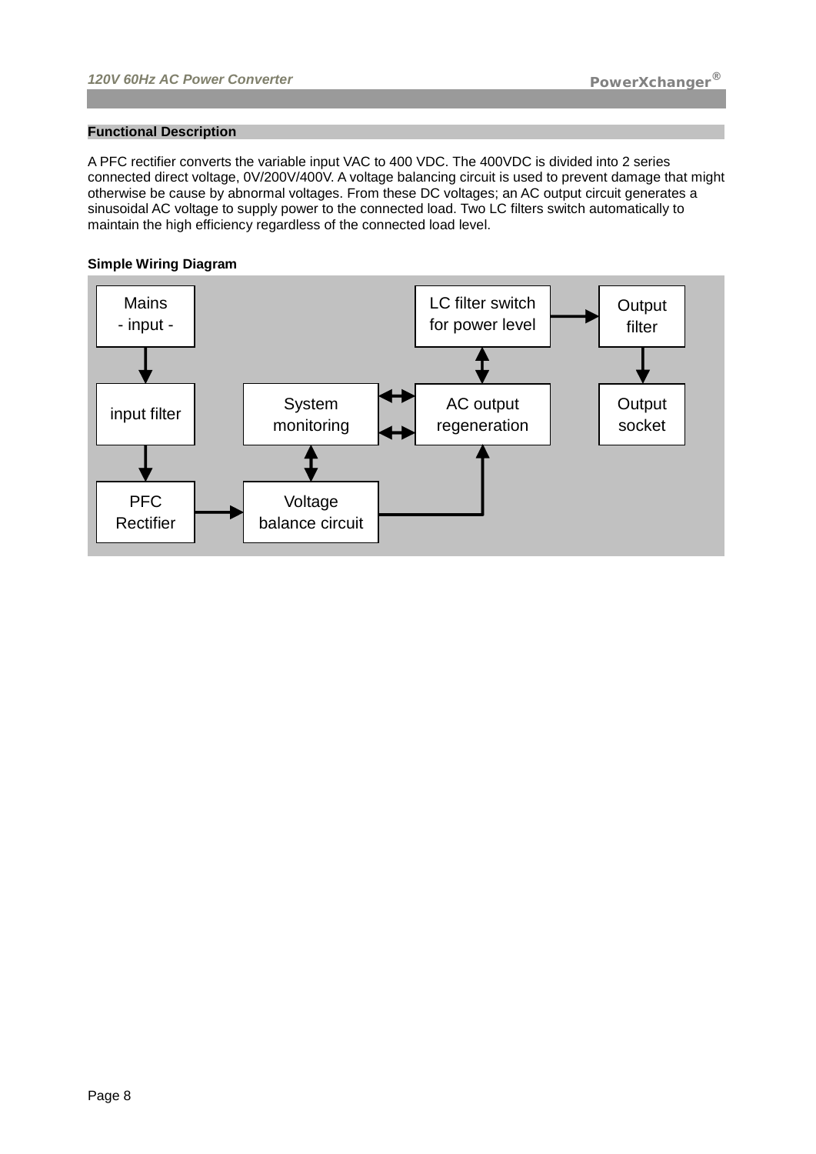#### **Functional Description**

A PFC rectifier converts the variable input VAC to 400 VDC. The 400VDC is divided into 2 series connected direct voltage, 0V/200V/400V. A voltage balancing circuit is used to prevent damage that might otherwise be cause by abnormal voltages. From these DC voltages; an AC output circuit generates a sinusoidal AC voltage to supply power to the connected load. Two LC filters switch automatically to maintain the high efficiency regardless of the connected load level.

#### **Simple Wiring Diagram**

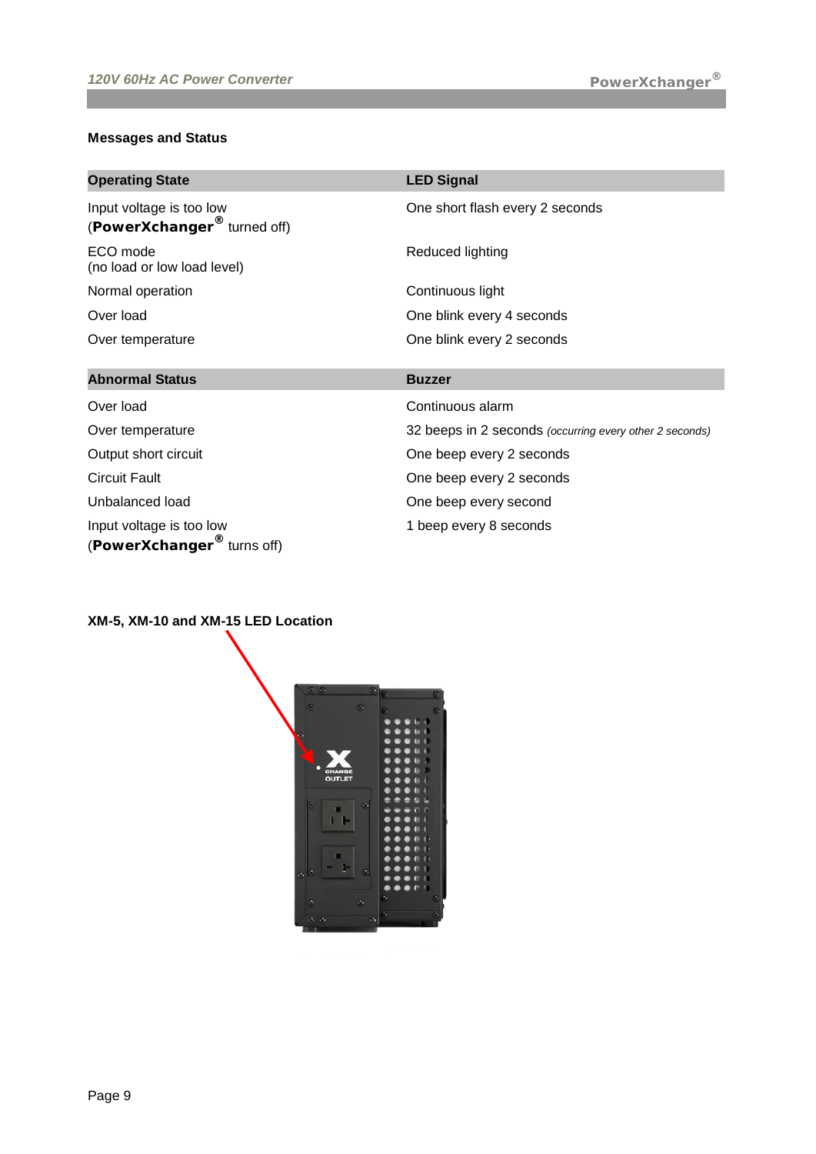# **Messages and Status**

| <b>Operating State</b>                                              | <b>LED Signal</b>                                       |
|---------------------------------------------------------------------|---------------------------------------------------------|
| Input voltage is too low<br>(PowerXchanger <sup>®</sup> turned off) | One short flash every 2 seconds                         |
| ECO mode<br>(no load or low load level)                             | Reduced lighting                                        |
| Normal operation                                                    | Continuous light                                        |
| Over load                                                           | One blink every 4 seconds                               |
| Over temperature                                                    | One blink every 2 seconds                               |
|                                                                     |                                                         |
| <b>Abnormal Status</b>                                              | <b>Buzzer</b>                                           |
| Over load                                                           | Continuous alarm                                        |
| Over temperature                                                    | 32 beeps in 2 seconds (occurring every other 2 seconds) |
| Output short circuit                                                | One beep every 2 seconds                                |
| <b>Circuit Fault</b>                                                | One beep every 2 seconds                                |
| Unbalanced load                                                     | One beep every second                                   |

# **XM-5, XM-10 and XM-15 LED Location**

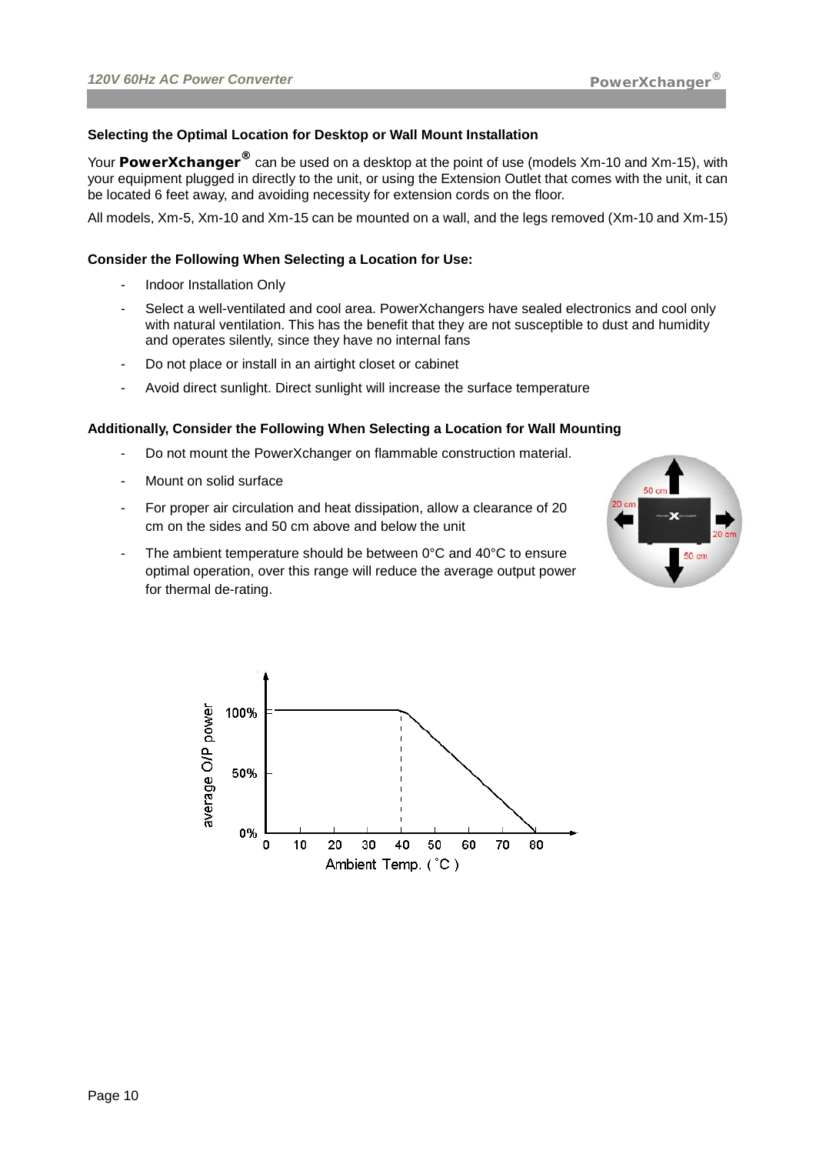#### **Selecting the Optimal Location for Desktop or Wall Mount Installation**

Your **PowerXchanger®** can be used on a desktop at the point of use (models Xm-10 and Xm-15), with your equipment plugged in directly to the unit, or using the Extension Outlet that comes with the unit, it can be located 6 feet away, and avoiding necessity for extension cords on the floor.

All models, Xm-5, Xm-10 and Xm-15 can be mounted on a wall, and the legs removed (Xm-10 and Xm-15)

#### **Consider the Following When Selecting a Location for Use:**

- Indoor Installation Only
- Select a well-ventilated and cool area. PowerXchangers have sealed electronics and cool only with natural ventilation. This has the benefit that they are not susceptible to dust and humidity and operates silently, since they have no internal fans
- Do not place or install in an airtight closet or cabinet
- Avoid direct sunlight. Direct sunlight will increase the surface temperature

#### **Additionally, Consider the Following When Selecting a Location for Wall Mounting**

- Do not mount the PowerXchanger on flammable construction material.
- Mount on solid surface
- For proper air circulation and heat dissipation, allow a clearance of 20 cm on the sides and 50 cm above and below the unit
- The ambient temperature should be between  $0^{\circ}$ C and  $40^{\circ}$ C to ensure optimal operation, over this range will reduce the average output power for thermal de-rating.



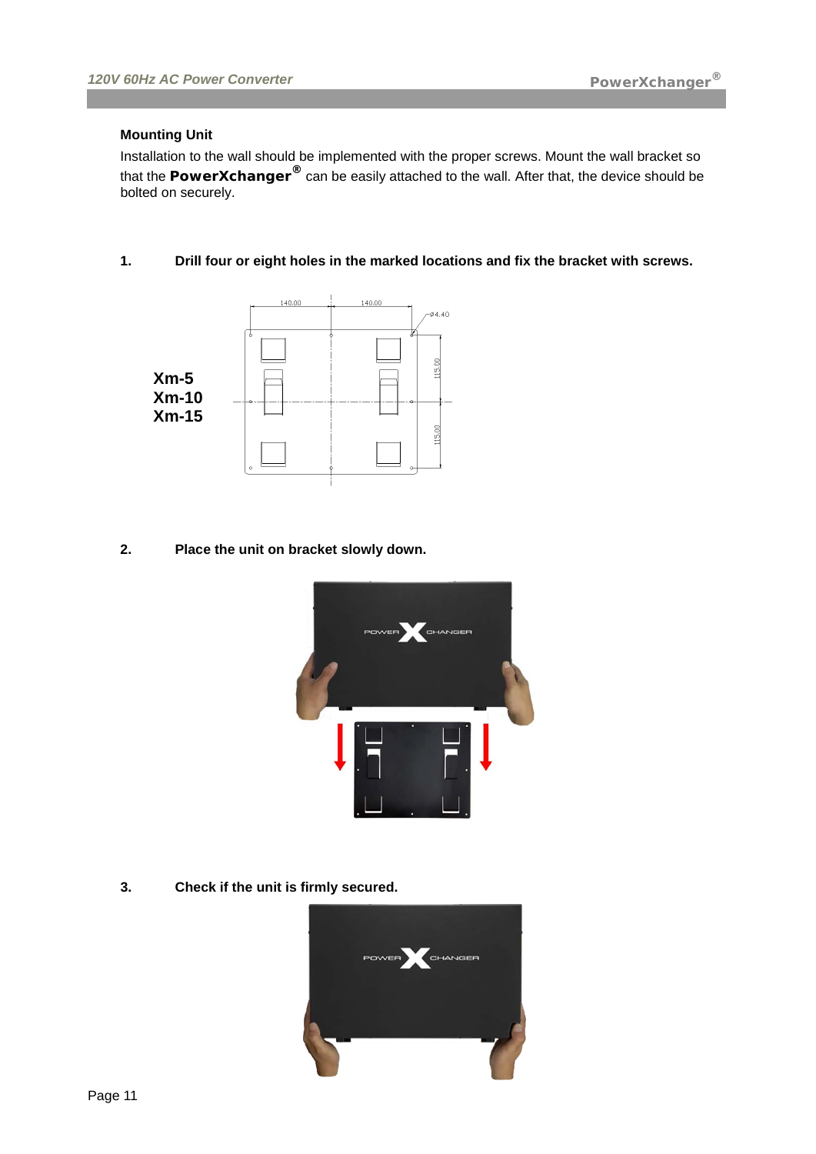#### **Mounting Unit**

Installation to the wall should be implemented with the proper screws. Mount the wall bracket so that the **PowerXchanger®** can be easily attached to the wall. After that, the device should be bolted on securely.

**1. Drill four or eight holes in the marked locations and fix the bracket with screws.**



**2. Place the unit on bracket slowly down.**



**3. Check if the unit is firmly secured.**

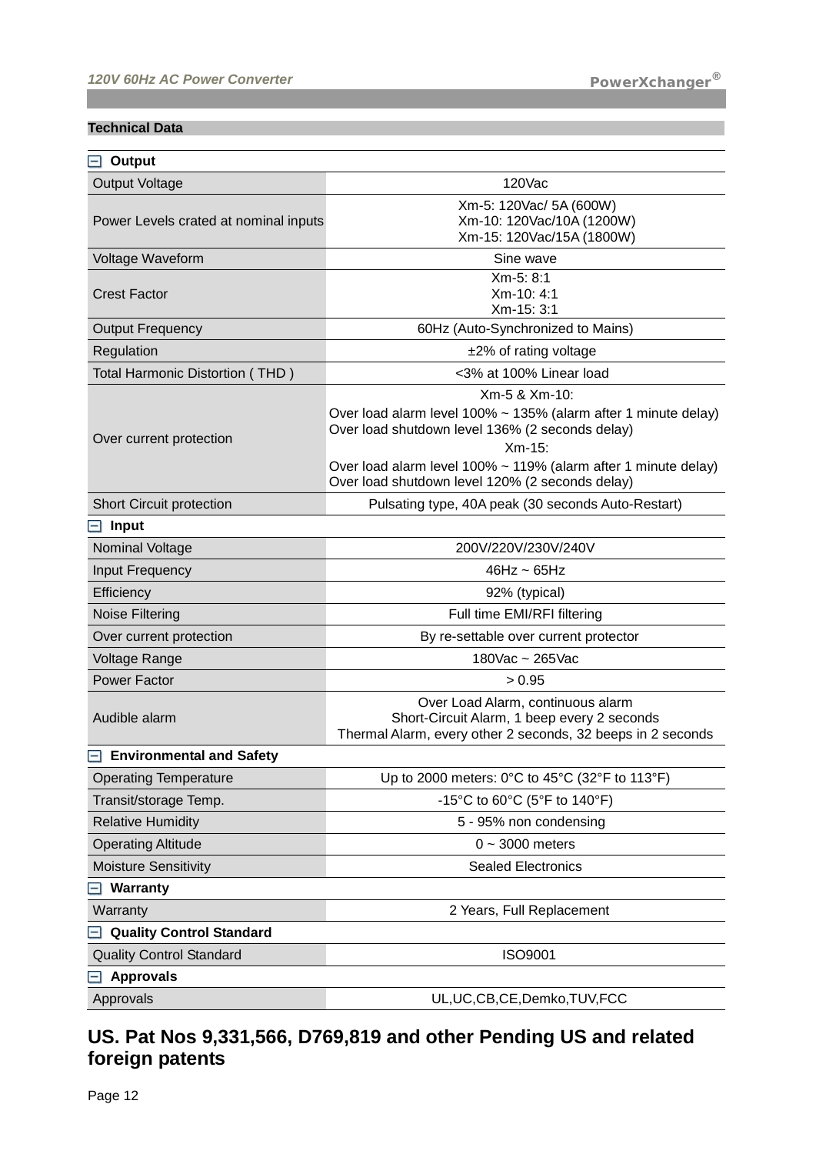#### **Technical Data**

| Output<br>$-1$                        |                                                                                                                                                                                                                                                                      |
|---------------------------------------|----------------------------------------------------------------------------------------------------------------------------------------------------------------------------------------------------------------------------------------------------------------------|
| <b>Output Voltage</b>                 | 120Vac                                                                                                                                                                                                                                                               |
| Power Levels crated at nominal inputs | Xm-5: 120Vac/ 5A (600W)<br>Xm-10: 120Vac/10A (1200W)<br>Xm-15: 120Vac/15A (1800W)                                                                                                                                                                                    |
| Voltage Waveform                      | Sine wave                                                                                                                                                                                                                                                            |
| <b>Crest Factor</b>                   | Xm-5: 8:1<br>Xm-10: 4:1<br>Xm-15: 3:1                                                                                                                                                                                                                                |
| <b>Output Frequency</b>               | 60Hz (Auto-Synchronized to Mains)                                                                                                                                                                                                                                    |
| Regulation                            | $±2\%$ of rating voltage                                                                                                                                                                                                                                             |
| Total Harmonic Distortion (THD)       | <3% at 100% Linear load                                                                                                                                                                                                                                              |
| Over current protection               | Xm-5 & Xm-10:<br>Over load alarm level 100% ~ 135% (alarm after 1 minute delay)<br>Over load shutdown level 136% (2 seconds delay)<br>$Xm-15$ :<br>Over load alarm level 100% ~ 119% (alarm after 1 minute delay)<br>Over load shutdown level 120% (2 seconds delay) |
| <b>Short Circuit protection</b>       | Pulsating type, 40A peak (30 seconds Auto-Restart)                                                                                                                                                                                                                   |
| <b>Input</b><br>-1                    |                                                                                                                                                                                                                                                                      |
| Nominal Voltage                       | 200V/220V/230V/240V                                                                                                                                                                                                                                                  |
| Input Frequency                       | $46Hz \sim 65Hz$                                                                                                                                                                                                                                                     |
| Efficiency                            | 92% (typical)                                                                                                                                                                                                                                                        |
| <b>Noise Filtering</b>                | Full time EMI/RFI filtering                                                                                                                                                                                                                                          |
| Over current protection               | By re-settable over current protector                                                                                                                                                                                                                                |
| Voltage Range                         | 180Vac ~ 265Vac                                                                                                                                                                                                                                                      |
| Power Factor                          | > 0.95                                                                                                                                                                                                                                                               |
| Audible alarm                         | Over Load Alarm, continuous alarm<br>Short-Circuit Alarm, 1 beep every 2 seconds<br>Thermal Alarm, every other 2 seconds, 32 beeps in 2 seconds                                                                                                                      |
| <b>Environmental and Safety</b>       |                                                                                                                                                                                                                                                                      |
| <b>Operating Temperature</b>          | Up to 2000 meters: $0^{\circ}$ C to 45 $^{\circ}$ C (32 $^{\circ}$ F to 113 $^{\circ}$ F)                                                                                                                                                                            |
| Transit/storage Temp.                 | -15°C to 60°C (5°F to 140°F)                                                                                                                                                                                                                                         |
| <b>Relative Humidity</b>              | 5 - 95% non condensing                                                                                                                                                                                                                                               |
| <b>Operating Altitude</b>             | $0 - 3000$ meters                                                                                                                                                                                                                                                    |
| <b>Moisture Sensitivity</b>           | <b>Sealed Electronics</b>                                                                                                                                                                                                                                            |
| Warranty                              |                                                                                                                                                                                                                                                                      |
| Warranty                              | 2 Years, Full Replacement                                                                                                                                                                                                                                            |
| <b>Quality Control Standard</b>       |                                                                                                                                                                                                                                                                      |
| <b>Quality Control Standard</b>       | <b>ISO9001</b>                                                                                                                                                                                                                                                       |
| <b>Approvals</b>                      |                                                                                                                                                                                                                                                                      |
| Approvals                             | UL, UC, CB, CE, Demko, TUV, FCC                                                                                                                                                                                                                                      |

# **US. Pat Nos 9,331,566, D769,819 and other Pending US and related foreign patents**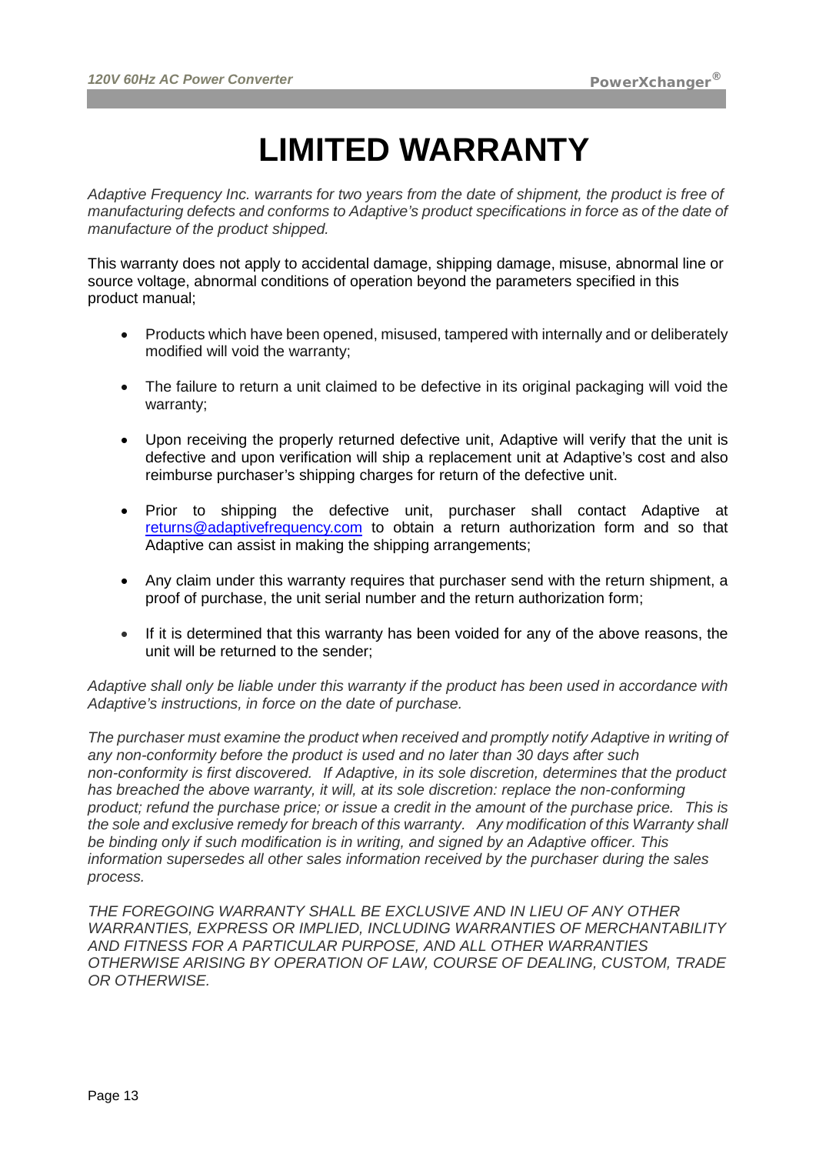# **LIMITED WARRANTY**

*Adaptive Frequency Inc. warrants for two years from the date of shipment, the product is free of manufacturing defects and conforms to Adaptive's product specifications in force as of the date of manufacture of the product shipped.*

This warranty does not apply to accidental damage, shipping damage, misuse, abnormal line or source voltage, abnormal conditions of operation beyond the parameters specified in this product manual;

- Products which have been opened, misused, tampered with internally and or deliberately modified will void the warranty;
- The failure to return a unit claimed to be defective in its original packaging will void the warranty;
- Upon receiving the properly returned defective unit, Adaptive will verify that the unit is defective and upon verification will ship a replacement unit at Adaptive's cost and also reimburse purchaser's shipping charges for return of the defective unit.
- Prior to shipping the defective unit, purchaser shall contact Adaptive at [returns@adaptivefrequency.com](mailto:returns@adaptivefrequency.com) to obtain a return authorization form and so that Adaptive can assist in making the shipping arrangements;
- Any claim under this warranty requires that purchaser send with the return shipment, a proof of purchase, the unit serial number and the return authorization form;
- If it is determined that this warranty has been voided for any of the above reasons, the unit will be returned to the sender;

*Adaptive shall only be liable under this warranty if the product has been used in accordance with Adaptive's instructions, in force on the date of purchase.*

*The purchaser must examine the product when received and promptly notify Adaptive in writing of any non-conformity before the product is used and no later than 30 days after such non-conformity is first discovered. If Adaptive, in its sole discretion, determines that the product*  has breached the above warranty, it will, at its sole discretion: replace the non-conforming *product; refund the purchase price; or issue a credit in the amount of the purchase price. This is the sole and exclusive remedy for breach of this warranty. Any modification of this Warranty shall be binding only if such modification is in writing, and signed by an Adaptive officer. This information supersedes all other sales information received by the purchaser during the sales process.*

*THE FOREGOING WARRANTY SHALL BE EXCLUSIVE AND IN LIEU OF ANY OTHER WARRANTIES, EXPRESS OR IMPLIED, INCLUDING WARRANTIES OF MERCHANTABILITY AND FITNESS FOR A PARTICULAR PURPOSE, AND ALL OTHER WARRANTIES OTHERWISE ARISING BY OPERATION OF LAW, COURSE OF DEALING, CUSTOM, TRADE OR OTHERWISE.*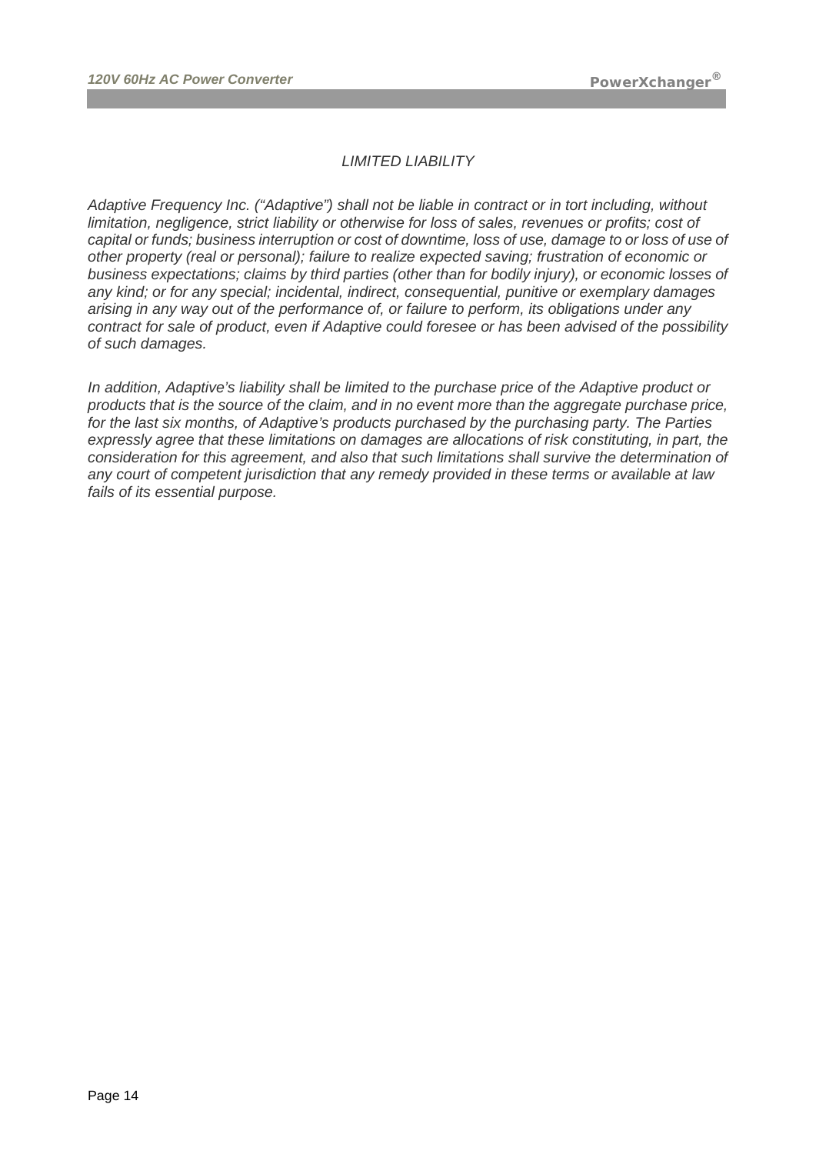### *LIMITED LIABILITY*

*Adaptive Frequency Inc. ("Adaptive") shall not be liable in contract or in tort including, without limitation, negligence, strict liability or otherwise for loss of sales, revenues or profits; cost of capital or funds; business interruption or cost of downtime, loss of use, damage to or loss of use of other property (real or personal); failure to realize expected saving; frustration of economic or business expectations; claims by third parties (other than for bodily injury), or economic losses of any kind; or for any special; incidental, indirect, consequential, punitive or exemplary damages arising in any way out of the performance of, or failure to perform, its obligations under any contract for sale of product, even if Adaptive could foresee or has been advised of the possibility of such damages.*

*In addition, Adaptive's liability shall be limited to the purchase price of the Adaptive product or products that is the source of the claim, and in no event more than the aggregate purchase price, for the last six months, of Adaptive's products purchased by the purchasing party. The Parties expressly agree that these limitations on damages are allocations of risk constituting, in part, the consideration for this agreement, and also that such limitations shall survive the determination of any court of competent jurisdiction that any remedy provided in these terms or available at law fails of its essential purpose.*